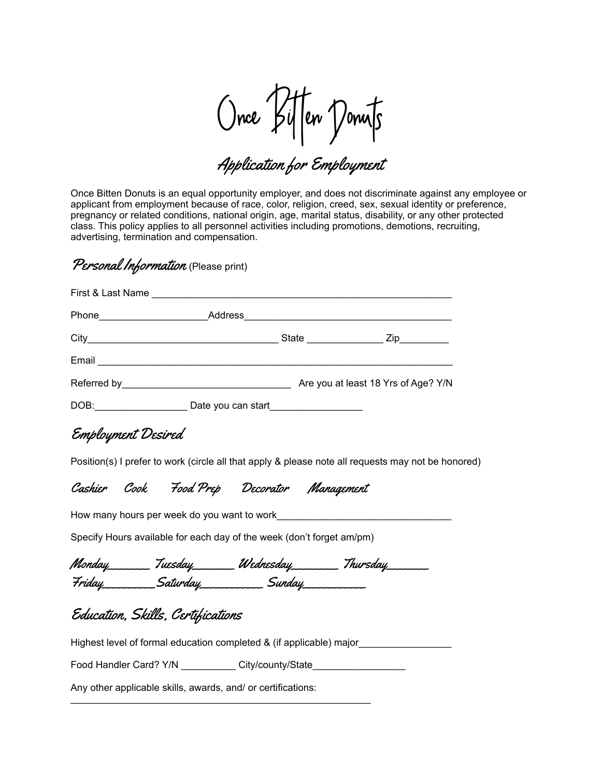Once Bi!en Donuts

Application for Employment

Once Bitten Donuts is an equal opportunity employer, and does not discriminate against any employee or applicant from employment because of race, color, religion, creed, sex, sexual identity or preference, pregnancy or related conditions, national origin, age, marital status, disability, or any other protected class. This policy applies to all personnel activities including promotions, demotions, recruiting, advertising, termination and compensation.

## Personal Information (Please print)

|                                                                                                                                                                                                                                |  | Are you at least 18 Yrs of Age? Y/N |
|--------------------------------------------------------------------------------------------------------------------------------------------------------------------------------------------------------------------------------|--|-------------------------------------|
| DOB: DOB: 2000 DOB: 2000 DOB: 2000 DOB: 2000 DOB: 2000 DOB: 2000 DOB: 2000 DOB: 2000 DOB: 2000 DOB: 2000 DOB: 2000 DOB: 2000 DOB: 2000 DOB: 2000 DOB: 2000 DOB: 2000 DOB: 2000 DOB: 2000 DOB: 2000 DOB: 2000 DOB: 2000 DOB: 20 |  |                                     |

Employment Desired

Position(s) I prefer to work (circle all that apply & please note all requests may not be honored)

Cashier Cook Food Prep Decorator Management

How many hours per week do you want to work

Specify Hours available for each day of the week (don't forget am/pm)

Monday\_\_\_\_\_\_\_\_ Tuesday\_\_\_\_\_\_\_\_ Wednesday\_\_\_\_\_\_\_\_\_ Thursday\_\_\_\_\_\_\_\_ Friday\_\_\_\_\_\_\_\_\_\_Saturday\_\_\_\_\_\_\_\_\_\_\_\_ Sunday\_\_\_\_\_\_\_\_\_\_\_\_

## Education, Skills, Certifications

Highest level of formal education completed & (if applicable) major\_\_\_\_\_\_\_\_\_\_\_\_\_\_\_\_\_

Food Handler Card? Y/N City/county/State

\_\_\_\_\_\_\_\_\_\_\_\_\_\_\_\_\_\_\_\_\_\_\_\_\_\_\_\_\_\_\_\_\_\_\_\_\_\_\_\_\_\_\_\_\_\_\_\_\_\_\_\_\_\_\_

Any other applicable skills, awards, and/ or certifications: